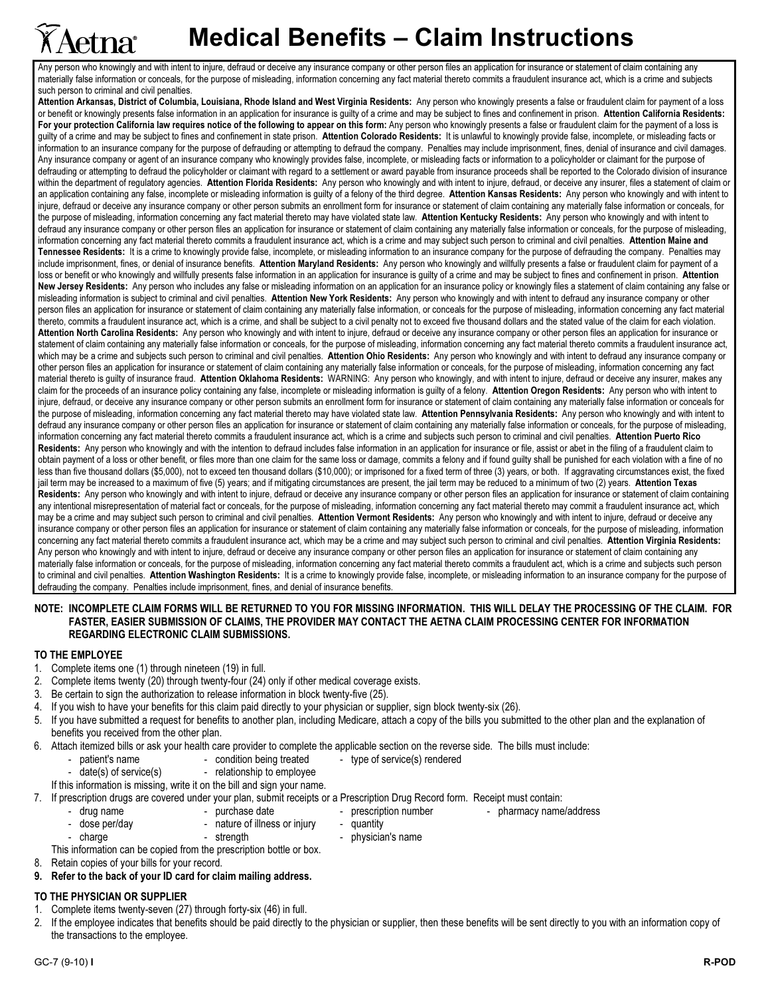# **Medical Benefits – Claim Instructions**

Any person who knowingly and with intent to injure, defraud or deceive any insurance company or other person files an application for insurance or statement of claim containing any materially false information or conceals, for the purpose of misleading, information concerning any fact material thereto commits a fraudulent insurance act, which is a crime and subjects such person to criminal and civil penalties.

Attention Arkansas, District of Columbia, Louisiana, Rhode Island and West Virginia Residents: Any person who knowingly presents a false or fraudulent claim for payment of a loss or benefit or knowingly presents false information in an application for insurance is guilty of a crime and may be subject to fines and confinement in prison. Attention California Residents: For your protection California law requires notice of the following to appear on this form: Any person who knowingly presents a false or fraudulent claim for the payment of a loss is guilty of a crime and may be subject to fines and confinement in state prison. Attention Colorado Residents: It is unlawful to knowingly provide false, incomplete, or misleading facts or information to an insurance company for the purpose of defrauding or attempting to defraud the company. Penalties may include imprisonment, fines, denial of insurance and civil damages. Any insurance company or agent of an insurance company who knowingly provides false, incomplete, or misleading facts or information to a policyholder or claimant for the purpose of defrauding or attempting to defraud the policyholder or claimant with regard to a settlement or award payable from insurance proceeds shall be reported to the Colorado division of insurance within the department of regulatory agencies. Attention Florida Residents: Any person who knowingly and with intent to injure, defraud, or deceive any insurer, files a statement of claim or an application containing any false, incomplete or misleading information is guilty of a felony of the third degree. Attention Kansas Residents: Any person who knowingly and with intent to injure, defraud or deceive any insurance company or other person submits an enrollment form for insurance or statement of claim containing any materially false information or conceals, for the purpose of misleading, information concerning any fact material thereto may have violated state law. Attention Kentucky Residents: Any person who knowingly and with intent to defraud any insurance company or other person files an application for insurance or statement of claim containing any materially false information or conceals, for the purpose of misleading, information concerning any fact material thereto commits a fraudulent insurance act, which is a crime and may subject such person to criminal and civil penalties. Attention Maine and Tennessee Residents: It is a crime to knowingly provide false, incomplete, or misleading information to an insurance company for the purpose of defrauding the company. Penalties may include imprisonment, fines, or denial of insurance benefits. Attention Maryland Residents: Any person who knowingly and willfully presents a false or fraudulent claim for payment of a loss or benefit or who knowingly and willfully presents false information in an application for insurance is guilty of a crime and may be subject to fines and confinement in prison. Attention New Jersey Residents: Any person who includes any false or misleading information on an application for an insurance policy or knowingly files a statement of claim containing any false or misleading information is subject to criminal and civil penalties. Attention New York Residents: Any person who knowingly and with intent to defraud any insurance company or other person files an application for insurance or statement of claim containing any materially false information, or conceals for the purpose of misleading, information concerning any fact material thereto, commits a fraudulent insurance act, which is a crime, and shall be subject to a civil penalty not to exceed five thousand dollars and the stated value of the claim for each violation. Attention North Carolina Residents: Any person who knowingly and with intent to injure, defraud or deceive any insurance company or other person files an application for insurance or statement of claim containing any materially false information or conceals, for the purpose of misleading, information concerning any fact material thereto commits a fraudulent insurance act, which may be a crime and subjects such person to criminal and civil penalties. Attention Ohio Residents: Any person who knowingly and with intent to defraud any insurance company or other person files an application for insurance or statement of claim containing any materially false information or conceals, for the purpose of misleading, information concerning any fact material thereto is quilty of insurance fraud. Attention Oklahoma Residents: WARNING: Any person who knowingly, and with intent to injure, defraud or deceive any insurer, makes any claim for the proceeds of an insurance policy containing any false, incomplete or misleading information is guilty of a felony. Attention Oregon Residents: Any person who with intent to injure, defraud, or deceive any insurance company or other person submits an enrollment form for insurance or statement of claim containing any materially false information or conceals for the purpose of misleading, information concerning any fact material thereto may have violated state law. Attention Pennsylvania Residents: Any person who knowingly and with intent to defraud any insurance company or other person files an application for insurance or statement of claim containing any materially false information or conceals, for the purpose of misleading, information concerning any fact material thereto commits a fraudulent insurance act, which is a crime and subjects such person to criminal and civil penalties. Attention Puerto Rico Residents: Any person who knowingly and with the intention to defraud includes false information in an application for insurance or file, assist or abet in the filing of a fraudulent claim to obtain payment of a loss or other benefit, or files more than one claim for the same loss or damage, commits a felony and if found guilty shall be punished for each violation with a fine of no less than five thousand dollars (\$5,000), not to exceed ten thousand dollars (\$10,000); or imprisoned for a fixed term of three (3) years, or both. If aggravating circumstances exist, the fixed jail term may be increased to a maximum of five (5) years; and if mitigating circumstances are present, the jail term may be reduced to a minimum of two (2) years. Attention Texas Residents: Any person who knowingly and with intent to injure, defraud or deceive any insurance company or other person files an application for insurance or statement of claim containing any intentional misrepresentation of material fact or conceals, for the purpose of misleading, information concerning any fact material thereto may commit a fraudulent insurance act, which may be a crime and may subject such person to criminal and civil penalties. Attention Vermont Residents: Any person who knowingly and with intent to injure, defraud or deceive any insurance company or other person files an application for insurance or statement of claim containing any materially false information or conceals, for the purpose of misleading, information concerning any fact material thereto commits a fraudulent insurance act, which may be a crime and may subject such person to criminal and civil penalties. Attention Virginia Residents: Any person who knowingly and with intent to injure, defraud or deceive any insurance company or other person files an application for insurance or statement of claim containing any materially false information or conceals, for the purpose of misleading, information concerning any fact material thereto commits a fraudulent act, which is a crime and subjects such person to criminal and civil penalties. Attention Washington Residents: It is a crime to knowingly provide false, incomplete, or misleading information to an insurance company for the purpose of defrauding the company. Penalties include imprisonment, fines, and denial of insurance benefits.

#### NOTE: INCOMPLETE CLAIM FORMS WILL BE RETURNED TO YOU FOR MISSING INFORMATION. THIS WILL DELAY THE PROCESSING OF THE CLAIM. FOR FASTER, EASIER SUBMISSION OF CLAIMS, THE PROVIDER MAY CONTACT THE AETNA CLAIM PROCESSING CENTER FOR INFORMATION REGARDING ELECTRONIC CLAIM SUBMISSIONS.

### TO THE EMPLOYEE

**X Aetna**r

- 1. Complete items one (1) through nineteen (19) in full.
- 2. Complete items twenty (20) through twenty-four (24) only if other medical coverage exists.
- 3. Be certain to sign the authorization to release information in block twenty-five (25).
- 4. If you wish to have your benefits for this claim paid directly to your physician or supplier, sign block twenty-six (26).
- If you have submitted a request for benefits to another plan, including Medicare, attach a copy of the bills you submitted to the other plan and the explanation of benefits you received from the other plan.
- 6. Attach itemized bills or ask your health care provider to complete the applicable section on the reverse side. The bills must include:
	- patient's name condition being treated type of service(s) rendered
	- date(s) of service(s) relationship to employee
	- If this information is missing, write it on the bill and sign your name.
- 7. If prescription drugs are covered under your plan, submit receipts or a Prescription Drug Record form. Receipt must contain:<br>purchase date free interest or a prescription number or a pharmacy name - pharmacy name/address
	-
- 
- 
- 
- dose per/day The Society of illness or injury quantity - charge - strength - strength - physician's name
- This information can be copied from the prescription bottle or box.
- 8. Retain copies of your bills for your record.
- 9. Refer to the back of your ID card for claim mailing address.

### TO THE PHYSICIAN OR SUPPLIER

- 1. Complete items twenty-seven (27) through forty-six (46) in full.
- 2. If the employee indicates that benefits should be paid directly to the physician or supplier, then these benefits will be sent directly to you with an information copy of the transactions to the employee.